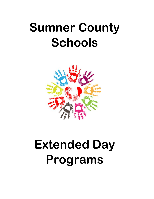# **Sumner County Schools**



# **Extended Day Programs**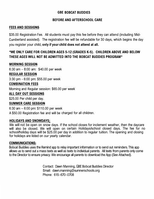# **BOBCAT BUDDIES GBE**

# **BEFORE AND AFTERSCHOOL CARE**

# **FEES AND SESSIONS**

\$35.00 Registration Fee. All students must pay this fee before they can attend (including Mid-Cumberland assisted). The registration fee will be refundable for 30 days, which begins the day you register your child, **only** if **yourchild does not attend at all.** 

# **\*WE ONLY CARE FOR CHILDREN AGES 5-12 (GRADES K-5). CHILDREN ABOVE AND BELOW THESE AGES WILL NOT BE ADMITTED INTO THE BOBCAT BUDDIES PROGRAM\***

# **MORNING SESSION**

6:30 am - 8:00 am: \$40.00 per week

## **REGULAR SESSION**

3:30 pm - 6:00 pm: \$55.00 per week

# **COMBINATION FEES**

Morning and Regular session: \$65.00 per week

## **ALL DAY OUT SESSIONS**

\$25.00 Per child per day.

## **SUMMER CARE SESSION**

6:30 am - 6:00 pm: \$110.00 per week A \$50.00 Registration fee and will be charged for all children.

## **HOLIDAYS AND SNOWDAYS:**

We will not be open on snow days. If the school closes for inclement weather, then the daycare will also be closed. We will open on certain Holidays/school closed days. The fee for no school/holiday days will be \$25.00 per day in addition to regular tuition. The opening and closing for holidays are listed on our yearly calendar.

#### **COMMUNICATIONS:**

Bobcat Buddies uses the Remind app to relay important information or to send out reminders. This app allows us to send out a mass texts as well as texts to individual parents. All texts from parents only come to the Director to ensure privacy. We encourage all parents to download the App (See Attached).

> Contact: Dawn Manning, GBE Bobcat Buddies Director Email: dawn.manning@sumnerschools.org Phone: 615-670-0708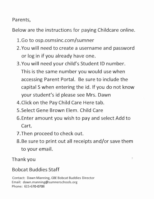Parents,

Below are the instructions for paying Childcare online.

- 1.Go to osp.osmsinc.com/sumner
- 2. You will need to create a username and password or log in if you already have one.
- 3.You will need your child's Student ID number. This is the same number you would use when accessing Parent Portal. Be sure to include the capital S when entering the id. If you do not know your student's id please see Mrs. Dawn
- 4.Click on the Pay Child Care Here tab.
- 5.Select Gene Brown Elem. Child Care
- 6. Enter amount you wish to pay and select Add to Cart.
- 7. Then proceed to check out.
- 8. Be sure to print out all receipts and/or save them to your email.

 $\frac{1}{\sqrt{2}}$ 

Thank you

# Bobcat Buddies Staff

Contact: Dawn Manning, GBE Bobcat Buddies Director Email: dawn.manning@sumnerschools.org Phone: 615-670-0708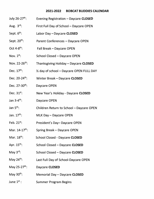#### **2021-2022 BOBCAT BUDDIES CALENDAR**

- July 26-27<sup>th</sup>: Evening Registration - Daycare **CLOSED**
- Aug.  $3^{rd}$ : First Full Day of School - Daycare OPEN
- Sept. 6<sup>th</sup>: Labor Day- Daycare **CLOSED**
- Sept. 20<sup>th</sup>: Parent Conferences - Daycare OPEN
- Oct  $4-8$ <sup>th</sup>: Fall Break - Daycare OPEN
- Nov.  $1^{st}$ : School Closed - Daycare OPEN
- Nov.  $22 26$ <sup>th</sup>: Thanksgiving Holiday- Daycare **CLOSED**
- Dec. 17<sup>th</sup>:  $\frac{1}{2}$  day of school – Daycare OPEN FULL DAY
- Dec. 20-24<sup>th</sup>: Winter Break- Daycare **CLOSED**
- Dec. 27-30<sup>th</sup>: Daycare OPEN
- Dec. 31<sup>st</sup>: New Year's Holiday- Daycare **CLOSED**
- Jan 3-4 th: Daycare OPEN
- Jan 5<sup>th</sup>: Children Return to School - Daycare OPEN
- Jan.  $17<sup>th</sup>$ : MLK Day- Daycare OPEN
- Feb.  $21^{st}$ : President's Day- Daycare OPEN
- Mar. 14-17<sup>th</sup>: Spring Break- Daycare OPEN
- Mar.  $18^{th}$ : School Closed - Daycare **CLOSED**
- Apr.  $15<sup>th</sup>$ : School Closed - Daycare **CLOSED**
- May  $3^{rd}$ : School Closed - Daycare **CLOSED**
- May 24<sup>th</sup>: Last Full Day of School-Daycare OPEN
- May  $25 27$ <sup>th</sup>: Daycare **CLOSED**
- May 30<sup>th</sup>: Memorial Day- Daycare **CLOSED**
- June  $1^{\rm st}$  : Summer Program Begins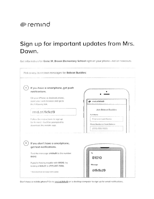# ●remind

# Sign up for important updates from Mrs. Dawn.

Get information for Gene W. Brown Elementary School right on your phone-not on handouts.



Don't have a mobile phone? Go to rmd.at/fkfkd9 on a desktop computer to sign up for email notifications.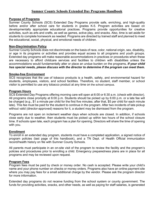## **Sumner County Schools Extended Day Programs Handbook**

#### **Purpose of Programs**

Sumner County Schools (SCS) Extended Day Programs provide safe, enriching, and high-quality before and/or after school care for students in grades K-5. Program activities are based on developmentally appropriate educational practices. Programs provide opportunities for creative activities, such as arts and crafts, as well as games, active play, and snacks. Also, time is set aside for students to complete homework as needed. Programs are directed by trained staff and planned to meet the educational, social, physical, and emotional needs of children.

#### **Non-Discrimination Policy**

Sumner County Schools does not discriminate on the basis of race, color, national origin, sex, disability, or age in its programs or activities and provides equal access to all programs and youth groups. Extended day programs will make reasonable accommodations in practices or procedures when these are necessary to afford childcare services and facilities to children with disabilities unless the accommodations would fundamentally alter or place an undue burden on the programs*. If your child has special needs, please discuss with the director to determine if the program can meet them.*

#### **Smoke-free Environment**

SCS recognizes that the use of tobacco products is a health, safety, and environmental hazard for students, employees, visitors, and school facilities. Therefore, no student, staff member, or school visitor is permitted to use any tobacco product at any time on the school campus.

#### **Program Hours**

SCS Extended Day Programs offering morning care will open at 6:00 or 6:30 a.m. (check with director). All programs close promptly at 6:00 p.m. Students should be picked up by 6:00 p.m. or a late fee will be charged (e.g., \$1 a minute per child for the first five minutes; after that, \$5 per child for each minute late). This fee must be paid for the student to continue in the program. After two incidents of late pickup without valid (director-approved) reasons for it, a student may be dismissed from the program.

Programs are not open on inclement weather days when schools are closed. In addition, if schools close early due to weather, then students must be picked up within two hours of the school closure time. If schools open late, each program has a plan for opening. Directors will share the time of opening with you.

#### **Enrollment**

To enroll in an extended day program, students must have a completed application, a signed notice of program policies (last page of this handbook), and a TN Dept. of Health Official immunization record/health history on file with Sumner County Schools.

All parents must participate in an on-site visit of the program to review the facility and the program's policies and procedures prior to enrolling a child. Emergency preparedness plans are in place for all programs and may be reviewed upon request.

#### **Program Fees**

Program fees must be paid by check or money order. No cash is accepted. Please write your child's name and your phone number on checks or money orders. Programs also have an online payment site where you may pay fees for a small additional charge by the vendor. Please ask the program director for more information.

Extended day programs do not receive funding from the school system or county government. The funds for providing activities, snacks, and other needs, as well as paying for staff salaries, is generated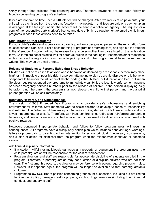solely through fees collected from parents/guardians. Therefore, payments are due each Friday or Monday depending on program's schedule.

If fees are not paid on time, then a \$10 late fee will be charged. After two weeks of no payments, your child will be dismissed from the program. A student may not return until fees are paid or a payment plan is arranged. If the fees go unpaid, the account will be sent to a collection agency. The request for a copy of the responsible party's driver's license and date of birth is a requirement to enroll a child in our programs in case these actions need to be taken.

#### **Sign In/Sign Out for Students**

For your child's safety and supervision, a parent/guardian or designated person on the registration form must escort and sign in your child each morning (if program has morning care) and sign out the student in the afternoon. A student will not be released to any person other than those listed on the registration form. Children are not allowed to wait for parent/guardian in the parking lot. If someone other than those authorized on the registration form come to pick up a child, the program must have the request in writing. This may be by email or note.

#### **Release of Students to Persons Exhibiting Erratic Behavior**

Children will not be released to anyone whose behavior, as deemed by a reasonable person, may place him/her in immediate or possible risk. If a person attempting to pick up a child displays erratic behavior or appears to be under the influence of alcohol or drugs, the TN Dept. of Education and Dept. of Human Services requires extended day programs to immediately call 911, the local law enforcement agency, or other emergency services numbers prior to the release of children. If the person displaying risky behavior is not the parent, the program shall not release the child to that person, and the custodial parent/guardian will be call immediately.

#### **Behavior, Rewards, and Consequences**

The mission of SCS Extended Day Programs is to provide a safe, wholesome, and enriching environment for children. Staff members work to assist children to develop a sense of responsibility and self-discipline. When a child makes a poor behavior choice, staff will guide them to understand why it was inappropriate or unsafe. Therefore, warnings, conferencing, redirection, reinforcing appropriate behaviors, and time outs are some of the behavior techniques used. Good behavior is recognized with positive rewards.

However, continued inappropriate behavior and failure to follow program rules will result in consequences. All programs have a disciplinary action plan which includes behavior logs, warnings, letters or phone calls to parent/guardian, intervention by school principal if necessary, suspensions, and a plan of action for dismissal from the program when the misbehavior continues or becomes severe.

Additional disciplinary information:

- If a student willfully or maliciously damages any property or equipment the program uses, the child/parent/guardian will be responsible for the cost of replacement.
- Program directors and staff are responsible for appropriate discipline of students enrolled in the program. Therefore, a parent/guardian may not question or discipline children who are not their own. The first time this occurs, the director may conference with parent regarding program rules. However, if it happens again, the program will no longer be available to that parent/guardian's child/ren.
- Programs follow SCS Board policies concerning grounds for suspension, including but not limited to violence, fighting, damage to self or property, alcohol, drugs, weapons (including toys), immoral conduct, and battery to staff.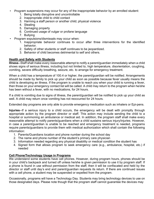- Program suspensions may occur for any of the inappropriate behavior by an enrolled student:
	- 1. Being totally disruptive and uncontrollable
	- 2. Inappropriate child to child contact
	- 3. Harming a staff person or another child; physical violence
	- 4. Stealing
	- 5. Damaging property
	- 6. Continued usage of vulgar or profane language
	- 7. Bullying
- Program expulsions/dismissals may occur when:
	- 1. Inappropriate behavior continues to occur after three interventions for the identified behavior.
	- 2. Safety of other students or staff continues to be jeopardized.
	- 3. Behavior of child becomes detrimental to self and others.

#### **Health and Safety with Students**

**Illness**--Staff shall make every reasonable attempt to notify a parent/guardian immediately when a child shows signs of serious illness, including but not limited to, high temperature, disorientation, coughing, vomiting, severe difficulty breathing, seizure, etc. to arrange for emergency treatment.

When a child has a temperature of 100.4 or higher, the parent/guardian will be notified. Arrangements should be made by family to pick up your child as soon as possible because fever usually means the child is developing an illness. If the program is unable to reach you when your child is running a fever, then those on your emergency contact list will be called. A child may return to the program when he/she has been without a fever, with no medications, for 24 hours.

If a child is vomiting due to signs of illness, the parent/guardian will be notified to pick up your child as well. A child may return once vomiting has not reoccurred for 24 hours.

Extended day programs are only able to provide emergency medication such as inhalers or Epi-pens.

**Injuries**--If a serious injury to a child occurs, the emergency will be dealt with promptly through appropriate action by the program director or staff. This action may include sending the child to a hospital or summoning an ambulance or medical aid. In addition, the program staff shall make every reasonable attempt to notify parents/guardians when a child sustains serious injury/injuries. However, in case a parent/guardian is unable to be reached and emergency treatment is needed, programs require parents/guardians to provide them with medical authorization which shall contain the following information:

- 1. Parents/Guardians location and phone number during the school day
- 2. The name and phone number of the student's primary care physician
- 3. Information needed regarding any physical disability or medical condition the student has
- 4. Signed form that allows program to seek emergency care (e.g., ambulance, hospital, etc.) if needed

#### **Cell Phone/Technology Usage in Programs**

We understand some students have cell phones. However, during program hours, phones should be in your child's backpack and turned off unless he/she is given permission to use it by program staff. If a phone is found in use without permission from the staff, then it will be confiscated and held by the director or staff until day's end and parent/guardian requests its return. If there are continued issues with a cell phone, a student may be suspended or expelled from the program.

Occasionally, programs will have a Technology Day. Students may bring technology devices to use on those designated days. Please note though that the program staff cannot guarantee the devices may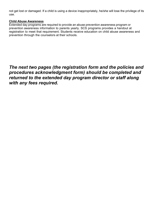not get lost or damaged. If a child is using a device inappropriately, he/she will lose the privilege of its use.

#### **Child Abuse Awareness**

Extended day programs are required to provide an abuse prevention awareness program or prevention awareness information to parents yearly. SCS programs provides a handout at registration to meet that requirement. Students receive education on child abuse awareness and prevention through the counselors at their schools.

# *The next two pages (the registration form and the policies and procedures acknowledgment form) should be completed and returned to the extended day program director or staff along with any fees required.*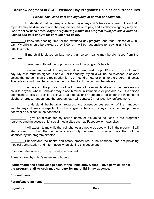# **Acknowledgment of SCS Extended Day Programs' Policies and Procedures**

#### *Please initial each item and sign/date at bottom of document.*

I understand that I am responsible for paying my child's fees every week. I know that my child may be dismissed from the program for failure to pay, and a collection agency may be used to collect unpaid fees. *Anyone registering a child in a program must providea driver's license and date of birth for enrollment to occur.*

 I know the opening time for the extended day program, and that it closes at 6:00 p.m. My child should be picked up by 6:00, or I will be responsible for paying any late fees incurred.

If my child is picked up late more than twice, he/she may be dismissed from the program.

I have been offered the opportunity to visit the program's facility.

 I understand an adult on my registration form must drop off/pick up my child each day. My child must be signed in and out of the facility. My child will not be released to anyone unless that person is on the registration form, or I send a note or email to the program director. The note or email must be acknowledged by the director to confirm the release.

 I understand the program staff will make all reasonable attempts to not release my child to anyone whose behavior may place him/her in immediate or possible risk. If a person attempting to pick up a child displays erratic behavior or appears to be under the influence of alcohol or drugs, I understand the program staff will contact 911 or local law enforcement.

 I understand the behavior, rewards, and consequences section of the handbook and that my child may be expelled from the program if he/she displays continued inappropriate behavior as outlined in the handbook.

I give permission for my child's name or picture to be used in the program's (parent/guardian access only) social media sites such as Facebook or news sites.

I will explain to my child that cell phones are not to be used while in the program. I will also inform my child that technology may only be used on special days that will be identified by the program director.

 I understand the health and safety procedures in the handbook and am providing medical authorization and information when signing this document.

Phone number where you may usually be reached: \_\_\_\_\_\_\_\_\_\_\_\_\_\_\_\_\_\_\_\_\_\_\_\_\_\_\_\_\_\_\_\_\_

Primary care physician's name and phone #:

**I understand and acknowledge each of the items above. Also, I give permission for the program staff to seek medical care for my child in my absence.**

**Student name:** 

**Parent/Guardian name:**

**Signature: Date:**